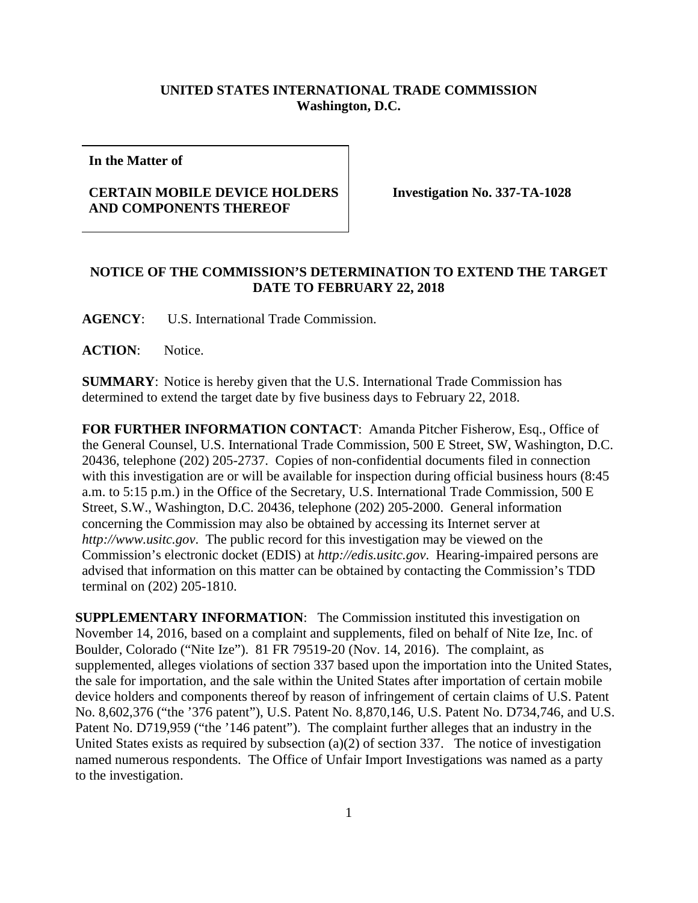## **UNITED STATES INTERNATIONAL TRADE COMMISSION Washington, D.C.**

**In the Matter of**

## **CERTAIN MOBILE DEVICE HOLDERS AND COMPONENTS THEREOF**

**Investigation No. 337-TA-1028**

## **NOTICE OF THE COMMISSION'S DETERMINATION TO EXTEND THE TARGET DATE TO FEBRUARY 22, 2018**

**AGENCY**: U.S. International Trade Commission.

**ACTION**: Notice.

**SUMMARY**: Notice is hereby given that the U.S. International Trade Commission has determined to extend the target date by five business days to February 22, 2018.

**FOR FURTHER INFORMATION CONTACT**: Amanda Pitcher Fisherow, Esq., Office of the General Counsel, U.S. International Trade Commission, 500 E Street, SW, Washington, D.C. 20436, telephone (202) 205-2737. Copies of non-confidential documents filed in connection with this investigation are or will be available for inspection during official business hours (8:45 a.m. to 5:15 p.m.) in the Office of the Secretary, U.S. International Trade Commission, 500 E Street, S.W., Washington, D.C. 20436, telephone (202) 205-2000. General information concerning the Commission may also be obtained by accessing its Internet server at *http://www.usitc.gov*. The public record for this investigation may be viewed on the Commission's electronic docket (EDIS) at *http://edis.usitc.gov*. Hearing-impaired persons are advised that information on this matter can be obtained by contacting the Commission's TDD terminal on (202) 205-1810.

**SUPPLEMENTARY INFORMATION**: The Commission instituted this investigation on November 14, 2016, based on a complaint and supplements, filed on behalf of Nite Ize, Inc. of Boulder, Colorado ("Nite Ize"). 81 FR 79519-20 (Nov. 14, 2016). The complaint, as supplemented, alleges violations of section 337 based upon the importation into the United States, the sale for importation, and the sale within the United States after importation of certain mobile device holders and components thereof by reason of infringement of certain claims of U.S. Patent No. 8,602,376 ("the '376 patent"), U.S. Patent No. 8,870,146, U.S. Patent No. D734,746, and U.S. Patent No. D719,959 ("the '146 patent"). The complaint further alleges that an industry in the United States exists as required by subsection  $(a)(2)$  of section 337. The notice of investigation named numerous respondents. The Office of Unfair Import Investigations was named as a party to the investigation.